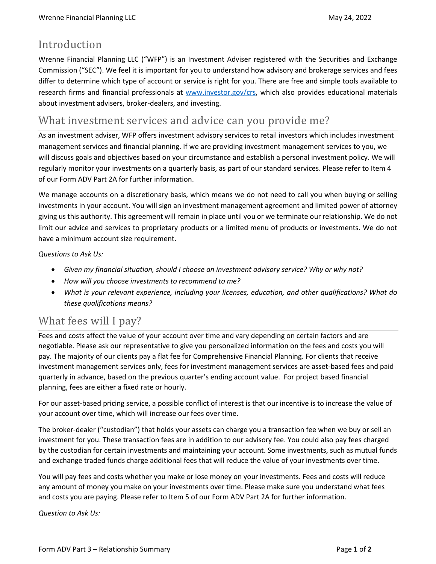## Introduction

Wrenne Financial Planning LLC ("WFP") is an Investment Adviser registered with the Securities and Exchange Commission ("SEC"). We feel it is important for you to understand how advisory and brokerage services and fees differ to determine which type of account or service is right for you. There are free and simple tools available to research firms and financial professionals at [www.investor.gov/crs,](http://www.investor.gov/crs) which also provides educational materials about investment advisers, broker-dealers, and investing.

## What investment services and advice can you provide me?

As an investment adviser, WFP offers investment advisory services to retail investors which includes investment management services and financial planning. If we are providing investment management services to you, we will discuss goals and objectives based on your circumstance and establish a personal investment policy. We will regularly monitor your investments on a quarterly basis, as part of our standard services. Please refer to Item 4 of our Form ADV Part 2A for further information.

We manage accounts on a discretionary basis, which means we do not need to call you when buying or selling investments in your account. You will sign an investment management agreement and limited power of attorney giving us this authority. This agreement will remain in place until you or we terminate our relationship. We do not limit our advice and services to proprietary products or a limited menu of products or investments. We do not have a minimum account size requirement.

*Questions to Ask Us:*

- *Given my financial situation, should I choose an investment advisory service? Why or why not?*
- *How will you choose investments to recommend to me?*
- *What is your relevant experience, including your licenses, education, and other qualifications? What do these qualifications means?*

# What fees will I pay?

Fees and costs affect the value of your account over time and vary depending on certain factors and are negotiable. Please ask our representative to give you personalized information on the fees and costs you will pay. The majority of our clients pay a flat fee for Comprehensive Financial Planning. For clients that receive investment management services only, fees for investment management services are asset-based fees and paid quarterly in advance, based on the previous quarter's ending account value. For project based financial planning, fees are either a fixed rate or hourly.

For our asset-based pricing service, a possible conflict of interest is that our incentive is to increase the value of your account over time, which will increase our fees over time.

The broker-dealer ("custodian") that holds your assets can charge you a transaction fee when we buy or sell an investment for you. These transaction fees are in addition to our advisory fee. You could also pay fees charged by the custodian for certain investments and maintaining your account. Some investments, such as mutual funds and exchange traded funds charge additional fees that will reduce the value of your investments over time.

You will pay fees and costs whether you make or lose money on your investments. Fees and costs will reduce any amount of money you make on your investments over time. Please make sure you understand what fees and costs you are paying. Please refer to Item 5 of our Form ADV Part 2A for further information.

*Question to Ask Us:*